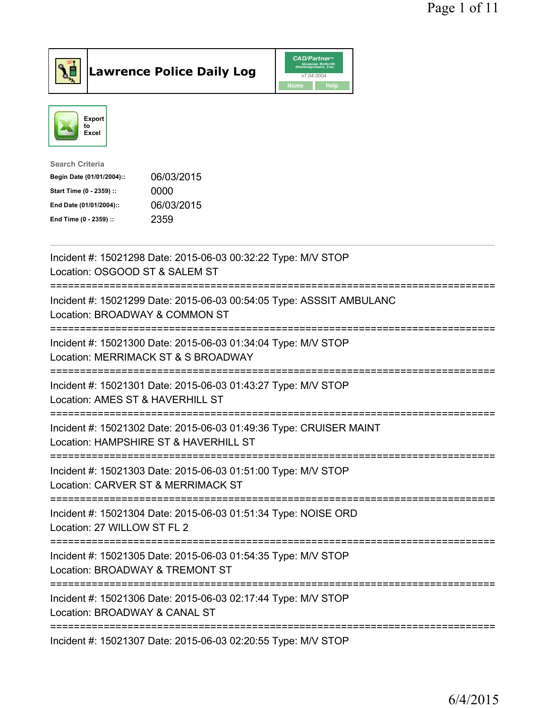

**Lawrence Police Daily Log** CAD/Partner



| <b>Search Criteria</b>    |            |
|---------------------------|------------|
| Begin Date (01/01/2004):: | 06/03/2015 |
| Start Time (0 - 2359) ::  | 0000       |
| End Date (01/01/2004)::   | 06/03/2015 |
| End Time (0 - 2359) ::    | 2359       |
|                           |            |

| Incident #: 15021298 Date: 2015-06-03 00:32:22 Type: M/V STOP<br>Location: OSGOOD ST & SALEM ST                                     |
|-------------------------------------------------------------------------------------------------------------------------------------|
| Incident #: 15021299 Date: 2015-06-03 00:54:05 Type: ASSSIT AMBULANC<br>Location: BROADWAY & COMMON ST                              |
| Incident #: 15021300 Date: 2015-06-03 01:34:04 Type: M/V STOP<br>Location: MERRIMACK ST & S BROADWAY                                |
| Incident #: 15021301 Date: 2015-06-03 01:43:27 Type: M/V STOP<br>Location: AMES ST & HAVERHILL ST                                   |
| Incident #: 15021302 Date: 2015-06-03 01:49:36 Type: CRUISER MAINT<br>Location: HAMPSHIRE ST & HAVERHILL ST                         |
| Incident #: 15021303 Date: 2015-06-03 01:51:00 Type: M/V STOP<br>Location: CARVER ST & MERRIMACK ST<br>============================ |
| Incident #: 15021304 Date: 2015-06-03 01:51:34 Type: NOISE ORD<br>Location: 27 WILLOW ST FL 2<br>---------------------------------  |
| Incident #: 15021305 Date: 2015-06-03 01:54:35 Type: M/V STOP<br>Location: BROADWAY & TREMONT ST<br>---------------------------     |
| Incident #: 15021306 Date: 2015-06-03 02:17:44 Type: M/V STOP<br>Location: BROADWAY & CANAL ST                                      |
| Incident #: 15021307 Date: 2015-06-03 02:20:55 Type: M/V STOP                                                                       |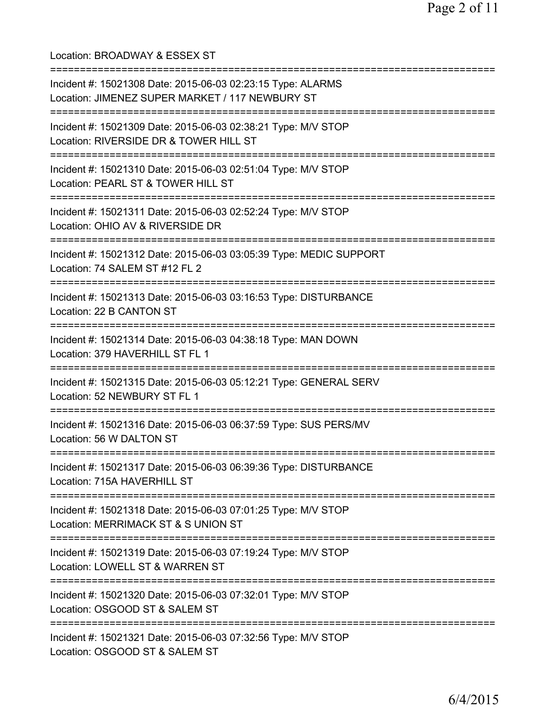Location: BROADWAY & ESSEX ST =========================================================================== Incident #: 15021308 Date: 2015-06-03 02:23:15 Type: ALARMS Location: JIMENEZ SUPER MARKET / 117 NEWBURY ST =========================================================================== Incident #: 15021309 Date: 2015-06-03 02:38:21 Type: M/V STOP Location: RIVERSIDE DR & TOWER HILL ST =========================================================================== Incident #: 15021310 Date: 2015-06-03 02:51:04 Type: M/V STOP Location: PEARL ST & TOWER HILL ST =========================================================================== Incident #: 15021311 Date: 2015-06-03 02:52:24 Type: M/V STOP Location: OHIO AV & RIVERSIDE DR =========================================================================== Incident #: 15021312 Date: 2015-06-03 03:05:39 Type: MEDIC SUPPORT Location: 74 SALEM ST #12 FL 2 =========================================================================== Incident #: 15021313 Date: 2015-06-03 03:16:53 Type: DISTURBANCE Location: 22 B CANTON ST =========================================================================== Incident #: 15021314 Date: 2015-06-03 04:38:18 Type: MAN DOWN Location: 379 HAVERHILL ST FL 1 =========================================================================== Incident #: 15021315 Date: 2015-06-03 05:12:21 Type: GENERAL SERV Location: 52 NEWBURY ST FL 1 =========================================================================== Incident #: 15021316 Date: 2015-06-03 06:37:59 Type: SUS PERS/MV Location: 56 W DALTON ST =========================================================================== Incident #: 15021317 Date: 2015-06-03 06:39:36 Type: DISTURBANCE Location: 715A HAVERHILL ST =========================================================================== Incident #: 15021318 Date: 2015-06-03 07:01:25 Type: M/V STOP Location: MERRIMACK ST & S UNION ST =========================================================================== Incident #: 15021319 Date: 2015-06-03 07:19:24 Type: M/V STOP Location: LOWELL ST & WARREN ST =========================================================================== Incident #: 15021320 Date: 2015-06-03 07:32:01 Type: M/V STOP Location: OSGOOD ST & SALEM ST =========================================================================== Incident #: 15021321 Date: 2015-06-03 07:32:56 Type: M/V STOP Location: OSGOOD ST & SALEM ST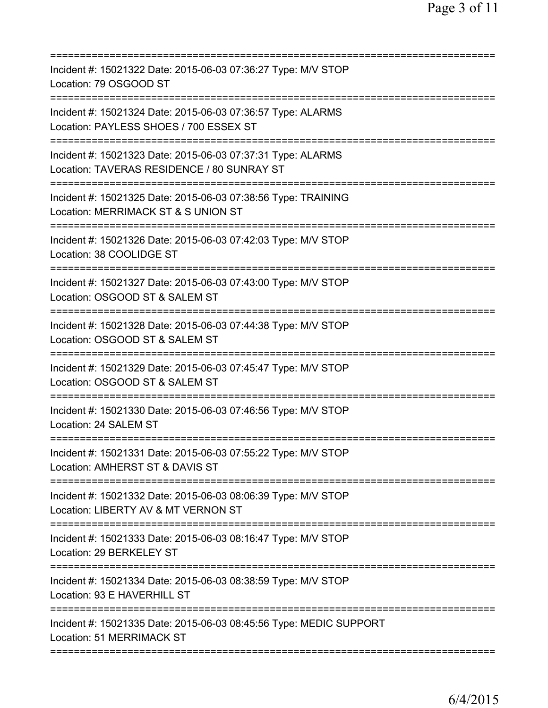| Incident #: 15021322 Date: 2015-06-03 07:36:27 Type: M/V STOP<br>Location: 79 OSGOOD ST                                                 |
|-----------------------------------------------------------------------------------------------------------------------------------------|
| Incident #: 15021324 Date: 2015-06-03 07:36:57 Type: ALARMS<br>Location: PAYLESS SHOES / 700 ESSEX ST                                   |
| Incident #: 15021323 Date: 2015-06-03 07:37:31 Type: ALARMS<br>Location: TAVERAS RESIDENCE / 80 SUNRAY ST                               |
| Incident #: 15021325 Date: 2015-06-03 07:38:56 Type: TRAINING<br>Location: MERRIMACK ST & S UNION ST                                    |
| Incident #: 15021326 Date: 2015-06-03 07:42:03 Type: M/V STOP<br>Location: 38 COOLIDGE ST                                               |
| ====================================<br>Incident #: 15021327 Date: 2015-06-03 07:43:00 Type: M/V STOP<br>Location: OSGOOD ST & SALEM ST |
| ======================<br>Incident #: 15021328 Date: 2015-06-03 07:44:38 Type: M/V STOP<br>Location: OSGOOD ST & SALEM ST               |
| Incident #: 15021329 Date: 2015-06-03 07:45:47 Type: M/V STOP<br>Location: OSGOOD ST & SALEM ST                                         |
| Incident #: 15021330 Date: 2015-06-03 07:46:56 Type: M/V STOP<br>Location: 24 SALEM ST                                                  |
| Incident #: 15021331 Date: 2015-06-03 07:55:22 Type: M/V STOP<br>Location: AMHERST ST & DAVIS ST                                        |
| Incident #: 15021332 Date: 2015-06-03 08:06:39 Type: M/V STOP<br>Location: LIBERTY AV & MT VERNON ST                                    |
| ===============================<br>Incident #: 15021333 Date: 2015-06-03 08:16:47 Type: M/V STOP<br>Location: 29 BERKELEY ST            |
| Incident #: 15021334 Date: 2015-06-03 08:38:59 Type: M/V STOP<br>Location: 93 E HAVERHILL ST                                            |
| Incident #: 15021335 Date: 2015-06-03 08:45:56 Type: MEDIC SUPPORT<br>Location: 51 MERRIMACK ST                                         |
|                                                                                                                                         |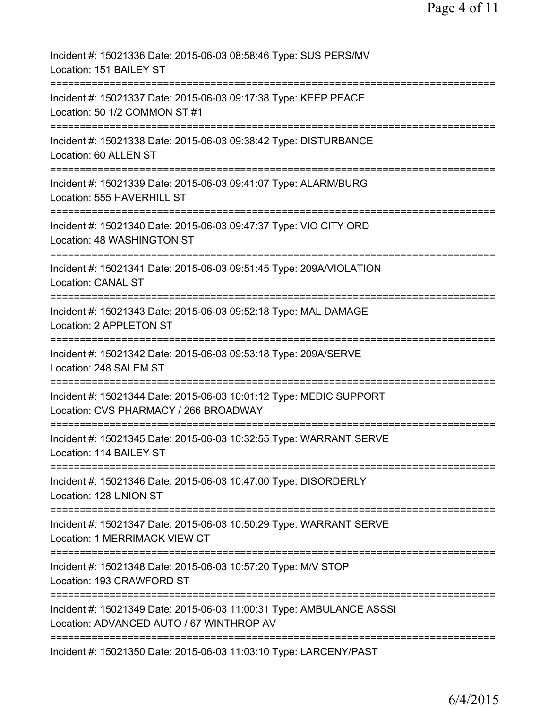| Incident #: 15021336 Date: 2015-06-03 08:58:46 Type: SUS PERS/MV<br>Location: 151 BAILEY ST                                      |
|----------------------------------------------------------------------------------------------------------------------------------|
| Incident #: 15021337 Date: 2015-06-03 09:17:38 Type: KEEP PEACE<br>Location: 50 1/2 COMMON ST #1                                 |
| Incident #: 15021338 Date: 2015-06-03 09:38:42 Type: DISTURBANCE<br>Location: 60 ALLEN ST                                        |
| Incident #: 15021339 Date: 2015-06-03 09:41:07 Type: ALARM/BURG<br>Location: 555 HAVERHILL ST                                    |
| Incident #: 15021340 Date: 2015-06-03 09:47:37 Type: VIO CITY ORD<br>Location: 48 WASHINGTON ST                                  |
| Incident #: 15021341 Date: 2015-06-03 09:51:45 Type: 209A/VIOLATION<br><b>Location: CANAL ST</b>                                 |
| ==================================<br>Incident #: 15021343 Date: 2015-06-03 09:52:18 Type: MAL DAMAGE<br>Location: 2 APPLETON ST |
| Incident #: 15021342 Date: 2015-06-03 09:53:18 Type: 209A/SERVE<br>Location: 248 SALEM ST                                        |
| Incident #: 15021344 Date: 2015-06-03 10:01:12 Type: MEDIC SUPPORT<br>Location: CVS PHARMACY / 266 BROADWAY                      |
| Incident #: 15021345 Date: 2015-06-03 10:32:55 Type: WARRANT SERVE<br>Location: 114 BAILEY ST                                    |
| Incident #: 15021346 Date: 2015-06-03 10:47:00 Type: DISORDERLY<br>Location: 128 UNION ST                                        |
| Incident #: 15021347 Date: 2015-06-03 10:50:29 Type: WARRANT SERVE<br>Location: 1 MERRIMACK VIEW CT                              |
| Incident #: 15021348 Date: 2015-06-03 10:57:20 Type: M/V STOP<br>Location: 193 CRAWFORD ST                                       |
| Incident #: 15021349 Date: 2015-06-03 11:00:31 Type: AMBULANCE ASSSI<br>Location: ADVANCED AUTO / 67 WINTHROP AV                 |
| Incident #: 15021350 Date: 2015-06-03 11:03:10 Type: LARCENY/PAST                                                                |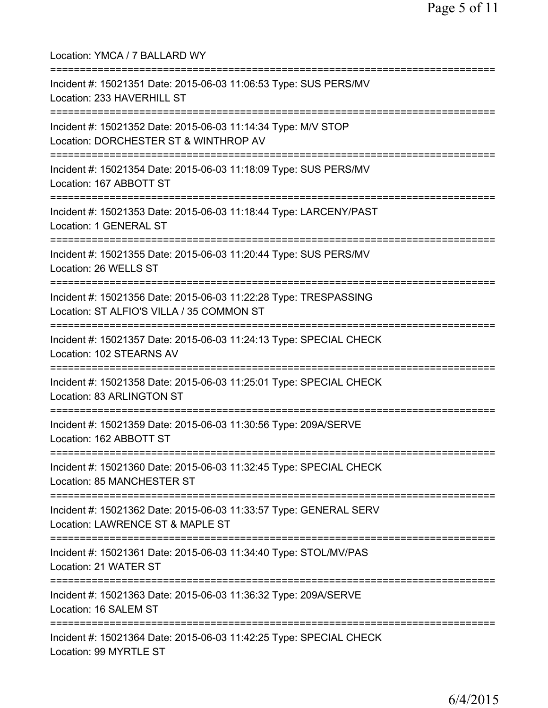Location: YMCA / 7 BALLARD WY =========================================================================== Incident #: 15021351 Date: 2015-06-03 11:06:53 Type: SUS PERS/MV Location: 233 HAVERHILL ST =========================================================================== Incident #: 15021352 Date: 2015-06-03 11:14:34 Type: M/V STOP Location: DORCHESTER ST & WINTHROP AV =========================================================================== Incident #: 15021354 Date: 2015-06-03 11:18:09 Type: SUS PERS/MV Location: 167 ABBOTT ST =========================================================================== Incident #: 15021353 Date: 2015-06-03 11:18:44 Type: LARCENY/PAST Location: 1 GENERAL ST =========================================================================== Incident #: 15021355 Date: 2015-06-03 11:20:44 Type: SUS PERS/MV Location: 26 WELLS ST =========================================================================== Incident #: 15021356 Date: 2015-06-03 11:22:28 Type: TRESPASSING Location: ST ALFIO'S VILLA / 35 COMMON ST =========================================================================== Incident #: 15021357 Date: 2015-06-03 11:24:13 Type: SPECIAL CHECK Location: 102 STEARNS AV =========================================================================== Incident #: 15021358 Date: 2015-06-03 11:25:01 Type: SPECIAL CHECK Location: 83 ARLINGTON ST =========================================================================== Incident #: 15021359 Date: 2015-06-03 11:30:56 Type: 209A/SERVE Location: 162 ABBOTT ST =========================================================================== Incident #: 15021360 Date: 2015-06-03 11:32:45 Type: SPECIAL CHECK Location: 85 MANCHESTER ST =========================================================================== Incident #: 15021362 Date: 2015-06-03 11:33:57 Type: GENERAL SERV Location: LAWRENCE ST & MAPLE ST =========================================================================== Incident #: 15021361 Date: 2015-06-03 11:34:40 Type: STOL/MV/PAS Location: 21 WATER ST =========================================================================== Incident #: 15021363 Date: 2015-06-03 11:36:32 Type: 209A/SERVE Location: 16 SALEM ST =========================================================================== Incident #: 15021364 Date: 2015-06-03 11:42:25 Type: SPECIAL CHECK Location: 99 MYRTLE ST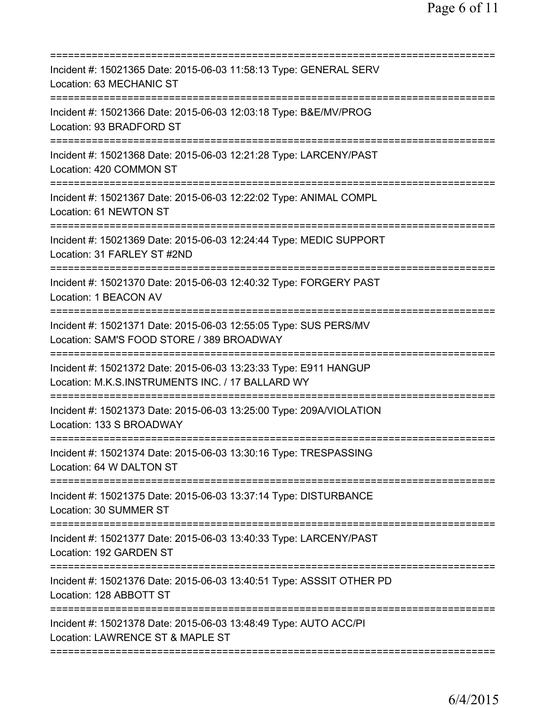| Incident #: 15021365 Date: 2015-06-03 11:58:13 Type: GENERAL SERV<br>Location: 63 MECHANIC ST<br>===================                                     |
|----------------------------------------------------------------------------------------------------------------------------------------------------------|
| Incident #: 15021366 Date: 2015-06-03 12:03:18 Type: B&E/MV/PROG<br>Location: 93 BRADFORD ST                                                             |
| Incident #: 15021368 Date: 2015-06-03 12:21:28 Type: LARCENY/PAST<br>Location: 420 COMMON ST                                                             |
| Incident #: 15021367 Date: 2015-06-03 12:22:02 Type: ANIMAL COMPL<br>Location: 61 NEWTON ST                                                              |
| Incident #: 15021369 Date: 2015-06-03 12:24:44 Type: MEDIC SUPPORT<br>Location: 31 FARLEY ST #2ND                                                        |
| ======================<br>Incident #: 15021370 Date: 2015-06-03 12:40:32 Type: FORGERY PAST<br>Location: 1 BEACON AV                                     |
| Incident #: 15021371 Date: 2015-06-03 12:55:05 Type: SUS PERS/MV<br>Location: SAM'S FOOD STORE / 389 BROADWAY                                            |
| Incident #: 15021372 Date: 2015-06-03 13:23:33 Type: E911 HANGUP<br>Location: M.K.S.INSTRUMENTS INC. / 17 BALLARD WY<br>================================ |
| Incident #: 15021373 Date: 2015-06-03 13:25:00 Type: 209A/VIOLATION<br>Location: 133 S BROADWAY                                                          |
| Incident #: 15021374 Date: 2015-06-03 13:30:16 Type: TRESPASSING<br>Location: 64 W DALTON ST                                                             |
| Incident #: 15021375 Date: 2015-06-03 13:37:14 Type: DISTURBANCE<br>Location: 30 SUMMER ST                                                               |
| Incident #: 15021377 Date: 2015-06-03 13:40:33 Type: LARCENY/PAST<br>Location: 192 GARDEN ST                                                             |
| Incident #: 15021376 Date: 2015-06-03 13:40:51 Type: ASSSIT OTHER PD<br>Location: 128 ABBOTT ST                                                          |
| Incident #: 15021378 Date: 2015-06-03 13:48:49 Type: AUTO ACC/PI<br>Location: LAWRENCE ST & MAPLE ST                                                     |
|                                                                                                                                                          |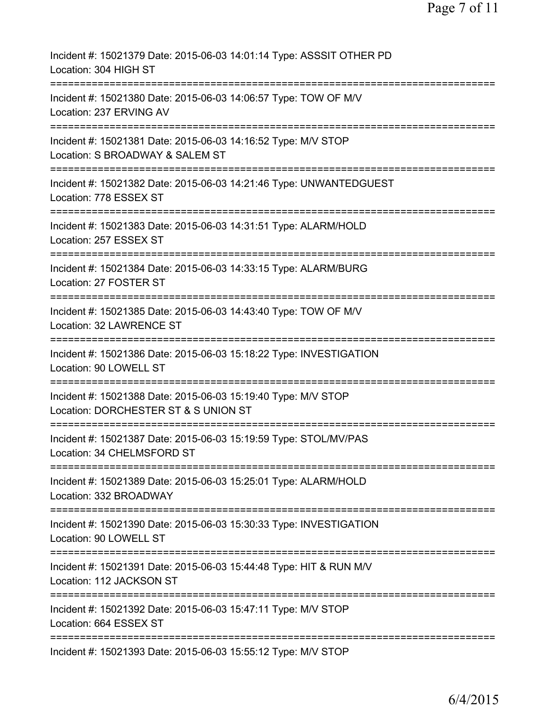| Incident #: 15021379 Date: 2015-06-03 14:01:14 Type: ASSSIT OTHER PD<br>Location: 304 HIGH ST                                              |
|--------------------------------------------------------------------------------------------------------------------------------------------|
| Incident #: 15021380 Date: 2015-06-03 14:06:57 Type: TOW OF M/V<br>Location: 237 ERVING AV                                                 |
| Incident #: 15021381 Date: 2015-06-03 14:16:52 Type: M/V STOP<br>Location: S BROADWAY & SALEM ST                                           |
| Incident #: 15021382 Date: 2015-06-03 14:21:46 Type: UNWANTEDGUEST<br>Location: 778 ESSEX ST                                               |
| Incident #: 15021383 Date: 2015-06-03 14:31:51 Type: ALARM/HOLD<br>Location: 257 ESSEX ST                                                  |
| Incident #: 15021384 Date: 2015-06-03 14:33:15 Type: ALARM/BURG<br>Location: 27 FOSTER ST                                                  |
| Incident #: 15021385 Date: 2015-06-03 14:43:40 Type: TOW OF M/V<br>Location: 32 LAWRENCE ST                                                |
| Incident #: 15021386 Date: 2015-06-03 15:18:22 Type: INVESTIGATION<br>Location: 90 LOWELL ST                                               |
| Incident #: 15021388 Date: 2015-06-03 15:19:40 Type: M/V STOP<br>Location: DORCHESTER ST & S UNION ST                                      |
| Incident #: 15021387 Date: 2015-06-03 15:19:59 Type: STOL/MV/PAS<br>Location: 34 CHELMSFORD ST                                             |
| =================<br>========================<br>Incident #: 15021389 Date: 2015-06-03 15:25:01 Type: ALARM/HOLD<br>Location: 332 BROADWAY |
| --------------------------<br>Incident #: 15021390 Date: 2015-06-03 15:30:33 Type: INVESTIGATION<br>Location: 90 LOWELL ST                 |
| Incident #: 15021391 Date: 2015-06-03 15:44:48 Type: HIT & RUN M/V<br>Location: 112 JACKSON ST                                             |
| Incident #: 15021392 Date: 2015-06-03 15:47:11 Type: M/V STOP<br>Location: 664 ESSEX ST                                                    |
| Incident #: 15021393 Date: 2015-06-03 15:55:12 Type: M/V STOP                                                                              |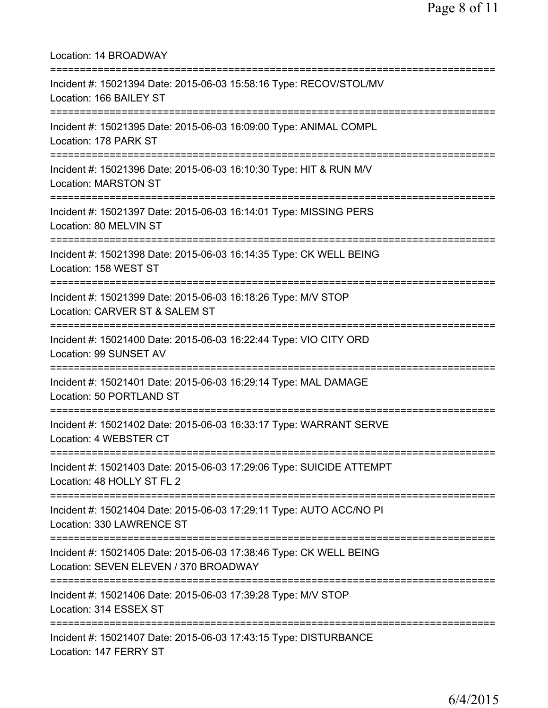Location: 14 BROADWAY =========================================================================== Incident #: 15021394 Date: 2015-06-03 15:58:16 Type: RECOV/STOL/MV Location: 166 BAILEY ST =========================================================================== Incident #: 15021395 Date: 2015-06-03 16:09:00 Type: ANIMAL COMPL Location: 178 PARK ST =========================================================================== Incident #: 15021396 Date: 2015-06-03 16:10:30 Type: HIT & RUN M/V Location: MARSTON ST =========================================================================== Incident #: 15021397 Date: 2015-06-03 16:14:01 Type: MISSING PERS Location: 80 MELVIN ST =========================================================================== Incident #: 15021398 Date: 2015-06-03 16:14:35 Type: CK WELL BEING Location: 158 WEST ST =========================================================================== Incident #: 15021399 Date: 2015-06-03 16:18:26 Type: M/V STOP Location: CARVER ST & SALEM ST =========================================================================== Incident #: 15021400 Date: 2015-06-03 16:22:44 Type: VIO CITY ORD Location: 99 SUNSET AV =========================================================================== Incident #: 15021401 Date: 2015-06-03 16:29:14 Type: MAL DAMAGE Location: 50 PORTLAND ST =========================================================================== Incident #: 15021402 Date: 2015-06-03 16:33:17 Type: WARRANT SERVE Location: 4 WEBSTER CT =========================================================================== Incident #: 15021403 Date: 2015-06-03 17:29:06 Type: SUICIDE ATTEMPT Location: 48 HOLLY ST FL 2 =========================================================================== Incident #: 15021404 Date: 2015-06-03 17:29:11 Type: AUTO ACC/NO PI Location: 330 LAWRENCE ST =========================================================================== Incident #: 15021405 Date: 2015-06-03 17:38:46 Type: CK WELL BEING Location: SEVEN ELEVEN / 370 BROADWAY =========================================================================== Incident #: 15021406 Date: 2015-06-03 17:39:28 Type: M/V STOP Location: 314 ESSEX ST =========================================================================== Incident #: 15021407 Date: 2015-06-03 17:43:15 Type: DISTURBANCE Location: 147 FERRY ST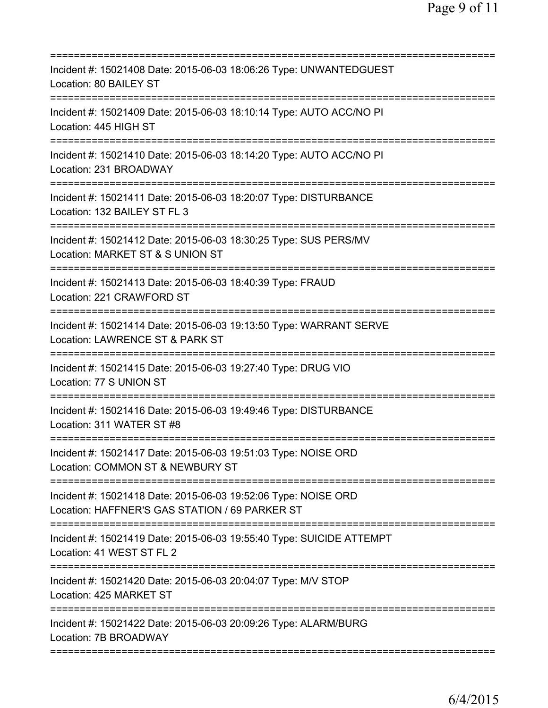| Incident #: 15021408 Date: 2015-06-03 18:06:26 Type: UNWANTEDGUEST<br>Location: 80 BAILEY ST                                           |
|----------------------------------------------------------------------------------------------------------------------------------------|
| Incident #: 15021409 Date: 2015-06-03 18:10:14 Type: AUTO ACC/NO PI<br>Location: 445 HIGH ST                                           |
| Incident #: 15021410 Date: 2015-06-03 18:14:20 Type: AUTO ACC/NO PI<br>Location: 231 BROADWAY                                          |
| Incident #: 15021411 Date: 2015-06-03 18:20:07 Type: DISTURBANCE<br>Location: 132 BAILEY ST FL 3                                       |
| Incident #: 15021412 Date: 2015-06-03 18:30:25 Type: SUS PERS/MV<br>Location: MARKET ST & S UNION ST                                   |
| ========================<br>Incident #: 15021413 Date: 2015-06-03 18:40:39 Type: FRAUD<br>Location: 221 CRAWFORD ST                    |
| Incident #: 15021414 Date: 2015-06-03 19:13:50 Type: WARRANT SERVE<br>Location: LAWRENCE ST & PARK ST                                  |
| Incident #: 15021415 Date: 2015-06-03 19:27:40 Type: DRUG VIO<br>Location: 77 S UNION ST                                               |
| Incident #: 15021416 Date: 2015-06-03 19:49:46 Type: DISTURBANCE<br>Location: 311 WATER ST #8                                          |
| Incident #: 15021417 Date: 2015-06-03 19:51:03 Type: NOISE ORD<br>Location: COMMON ST & NEWBURY ST<br>:=============================== |
| Incident #: 15021418 Date: 2015-06-03 19:52:06 Type: NOISE ORD<br>Location: HAFFNER'S GAS STATION / 69 PARKER ST                       |
| Incident #: 15021419 Date: 2015-06-03 19:55:40 Type: SUICIDE ATTEMPT<br>Location: 41 WEST ST FL 2                                      |
| Incident #: 15021420 Date: 2015-06-03 20:04:07 Type: M/V STOP<br>Location: 425 MARKET ST                                               |
| Incident #: 15021422 Date: 2015-06-03 20:09:26 Type: ALARM/BURG<br>Location: 7B BROADWAY                                               |
|                                                                                                                                        |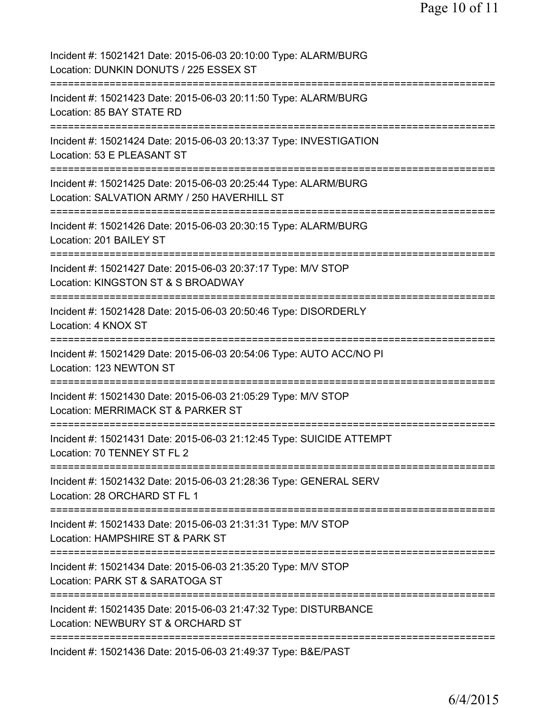| Incident #: 15021421 Date: 2015-06-03 20:10:00 Type: ALARM/BURG<br>Location: DUNKIN DONUTS / 225 ESSEX ST                              |
|----------------------------------------------------------------------------------------------------------------------------------------|
| Incident #: 15021423 Date: 2015-06-03 20:11:50 Type: ALARM/BURG<br>Location: 85 BAY STATE RD                                           |
| Incident #: 15021424 Date: 2015-06-03 20:13:37 Type: INVESTIGATION<br>Location: 53 E PLEASANT ST<br>================================== |
| Incident #: 15021425 Date: 2015-06-03 20:25:44 Type: ALARM/BURG<br>Location: SALVATION ARMY / 250 HAVERHILL ST                         |
| Incident #: 15021426 Date: 2015-06-03 20:30:15 Type: ALARM/BURG<br>Location: 201 BAILEY ST                                             |
| Incident #: 15021427 Date: 2015-06-03 20:37:17 Type: M/V STOP<br>Location: KINGSTON ST & S BROADWAY                                    |
| Incident #: 15021428 Date: 2015-06-03 20:50:46 Type: DISORDERLY<br>Location: 4 KNOX ST                                                 |
| Incident #: 15021429 Date: 2015-06-03 20:54:06 Type: AUTO ACC/NO PI<br>Location: 123 NEWTON ST<br>;==================================  |
| Incident #: 15021430 Date: 2015-06-03 21:05:29 Type: M/V STOP<br>Location: MERRIMACK ST & PARKER ST                                    |
| Incident #: 15021431 Date: 2015-06-03 21:12:45 Type: SUICIDE ATTEMPT<br>Location: 70 TENNEY ST FL 2                                    |
| Incident #: 15021432 Date: 2015-06-03 21:28:36 Type: GENERAL SERV<br>Location: 28 ORCHARD ST FL 1                                      |
| Incident #: 15021433 Date: 2015-06-03 21:31:31 Type: M/V STOP<br>Location: HAMPSHIRE ST & PARK ST<br>=============                     |
| Incident #: 15021434 Date: 2015-06-03 21:35:20 Type: M/V STOP<br>Location: PARK ST & SARATOGA ST                                       |
| Incident #: 15021435 Date: 2015-06-03 21:47:32 Type: DISTURBANCE<br>Location: NEWBURY ST & ORCHARD ST                                  |
| Incident #: 15021436 Date: 2015-06-03 21:49:37 Type: B&E/PAST                                                                          |